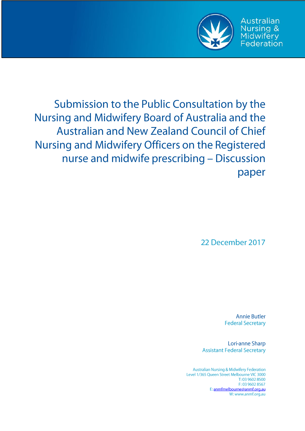

**Australian Nursing &** Midwifery Federation

Submission to the Public Consultation by the Nursing and Midwifery Board of Australia and the **Australian and New Zealand Council of Chief** Nursing and Midwifery Officers on the Registered nurse and midwife prescribing - Discussion paper

22 December 2017

**Annie Butler Federal Secretary** 

Lori-anne Sharp **Assistant Federal Secretary** 

**Australian Nursing & Midwifery Federation** Level 1/365 Queen Street Melbourne VIC 3000 T: 03 9602 8500 F: 03 9602 8567 E: anmfmelbourne@anmf.org.au W: www.anmf.org.au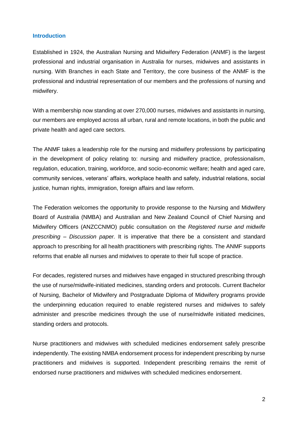#### **Introduction**

Established in 1924, the Australian Nursing and Midwifery Federation (ANMF) is the largest professional and industrial organisation in Australia for nurses, midwives and assistants in nursing. With Branches in each State and Territory, the core business of the ANMF is the professional and industrial representation of our members and the professions of nursing and midwifery.

With a membership now standing at over 270,000 nurses, midwives and assistants in nursing, our members are employed across all urban, rural and remote locations, in both the public and private health and aged care sectors.

The ANMF takes a leadership role for the nursing and midwifery professions by participating in the development of policy relating to: nursing and midwifery practice, professionalism, regulation, education, training, workforce, and socio-economic welfare; health and aged care, community services, veterans' affairs, workplace health and safety, industrial relations, social justice, human rights, immigration, foreign affairs and law reform.

The Federation welcomes the opportunity to provide response to the Nursing and Midwifery Board of Australia (NMBA) and Australian and New Zealand Council of Chief Nursing and Midwifery Officers (ANZCCNMO) public consultation on the *Registered nurse and midwife prescribing – Discussion paper.* It is imperative that there be a consistent and standard approach to prescribing for all health practitioners with prescribing rights. The ANMF supports reforms that enable all nurses and midwives to operate to their full scope of practice.

For decades, registered nurses and midwives have engaged in structured prescribing through the use of nurse/midwife-initiated medicines, standing orders and protocols. Current Bachelor of Nursing, Bachelor of Midwifery and Postgraduate Diploma of Midwifery programs provide the underpinning education required to enable registered nurses and midwives to safely administer and prescribe medicines through the use of nurse/midwife initiated medicines, standing orders and protocols.

Nurse practitioners and midwives with scheduled medicines endorsement safely prescribe independently. The existing NMBA endorsement process for independent prescribing by nurse practitioners and midwives is supported. Independent prescribing remains the remit of endorsed nurse practitioners and midwives with scheduled medicines endorsement.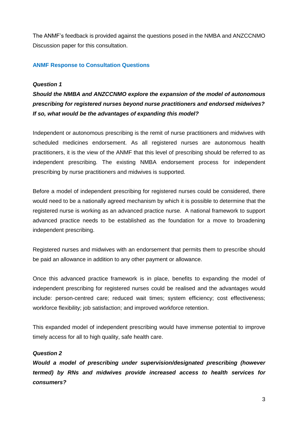The ANMF's feedback is provided against the questions posed in the NMBA and ANZCCNMO Discussion paper for this consultation.

## **ANMF Response to Consultation Questions**

#### *Question 1*

*Should the NMBA and ANZCCNMO explore the expansion of the model of autonomous prescribing for registered nurses beyond nurse practitioners and endorsed midwives? If so, what would be the advantages of expanding this model?*

Independent or autonomous prescribing is the remit of nurse practitioners and midwives with scheduled medicines endorsement. As all registered nurses are autonomous health practitioners, it is the view of the ANMF that this level of prescribing should be referred to as independent prescribing. The existing NMBA endorsement process for independent prescribing by nurse practitioners and midwives is supported.

Before a model of independent prescribing for registered nurses could be considered, there would need to be a nationally agreed mechanism by which it is possible to determine that the registered nurse is working as an advanced practice nurse. A national framework to support advanced practice needs to be established as the foundation for a move to broadening independent prescribing.

Registered nurses and midwives with an endorsement that permits them to prescribe should be paid an allowance in addition to any other payment or allowance.

Once this advanced practice framework is in place, benefits to expanding the model of independent prescribing for registered nurses could be realised and the advantages would include: person-centred care; reduced wait times; system efficiency; cost effectiveness; workforce flexibility; job satisfaction; and improved workforce retention.

This expanded model of independent prescribing would have immense potential to improve timely access for all to high quality, safe health care.

### *Question 2*

*Would a model of prescribing under supervision/designated prescribing (however termed) by RNs and midwives provide increased access to health services for consumers?*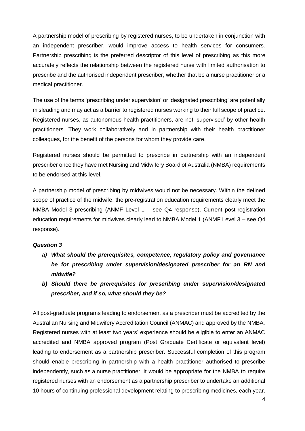A partnership model of prescribing by registered nurses, to be undertaken in conjunction with an independent prescriber, would improve access to health services for consumers. Partnership prescribing is the preferred descriptor of this level of prescribing as this more accurately reflects the relationship between the registered nurse with limited authorisation to prescribe and the authorised independent prescriber, whether that be a nurse practitioner or a medical practitioner.

The use of the terms 'prescribing under supervision' or 'designated prescribing' are potentially misleading and may act as a barrier to registered nurses working to their full scope of practice. Registered nurses, as autonomous health practitioners, are not 'supervised' by other health practitioners. They work collaboratively and in partnership with their health practitioner colleagues, for the benefit of the persons for whom they provide care.

Registered nurses should be permitted to prescribe in partnership with an independent prescriber once they have met Nursing and Midwifery Board of Australia (NMBA) requirements to be endorsed at this level.

A partnership model of prescribing by midwives would not be necessary. Within the defined scope of practice of the midwife, the pre-registration education requirements clearly meet the NMBA Model 3 prescribing (ANMF Level 1 – see Q4 response). Current post-registration education requirements for midwives clearly lead to NMBA Model 1 (ANMF Level 3 – see Q4 response).

## *Question 3*

- *a) What should the prerequisites, competence, regulatory policy and governance be for prescribing under supervision/designated prescriber for an RN and midwife?*
- *b) Should there be prerequisites for prescribing under supervision/designated prescriber, and if so, what should they be?*

All post-graduate programs leading to endorsement as a prescriber must be accredited by the Australian Nursing and Midwifery Accreditation Council (ANMAC) and approved by the NMBA. Registered nurses with at least two years' experience should be eligible to enter an ANMAC accredited and NMBA approved program (Post Graduate Certificate or equivalent level) leading to endorsement as a partnership prescriber. Successful completion of this program should enable prescribing in partnership with a health practitioner authorised to prescribe independently, such as a nurse practitioner. It would be appropriate for the NMBA to require registered nurses with an endorsement as a partnership prescriber to undertake an additional 10 hours of continuing professional development relating to prescribing medicines, each year.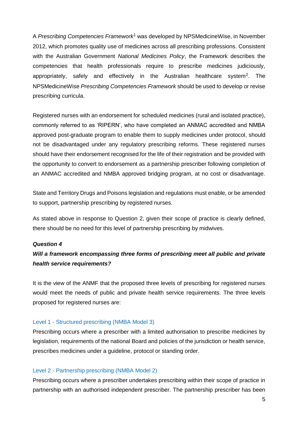A *Prescribing Competencies Framework*<sup>1</sup> was developed by NPSMedicineWise, in November 2012, which promotes quality use of medicines across all prescribing professions. Consistent with the Australian Government *National Medicines Policy*, the Framework describes the competencies that health professionals require to prescribe medicines judiciously, appropriately, safely and effectively in the Australian healthcare system<sup>2</sup>. The NPSMedicineWise *Prescribing Competencies Framework* should be used to develop or revise prescribing curricula.

Registered nurses with an endorsement for scheduled medicines (rural and isolated practice), commonly referred to as 'RIPERN', who have completed an ANMAC accredited and NMBA approved post-graduate program to enable them to supply medicines under protocol, should not be disadvantaged under any regulatory prescribing reforms. These registered nurses should have their endorsement recognised for the life of their registration and be provided with the opportunity to convert to endorsement as a partnership prescriber following completion of an ANMAC accredited and NMBA approved bridging program, at no cost or disadvantage.

State and Territory Drugs and Poisons legislation and regulations must enable, or be amended to support, partnership prescribing by registered nurses.

As stated above in response to Question 2, given their scope of practice is clearly defined, there should be no need for this level of partnership prescribing by midwives.

#### *Question 4*

# *Will a framework encompassing three forms of prescribing meet all public and private health service requirements?*

It is the view of the ANMF that the proposed three levels of prescribing for registered nurses would meet the needs of public and private health service requirements. The three levels proposed for registered nurses are:

#### Level 1 - Structured prescribing (NMBA Model 3)

Prescribing occurs where a prescriber with a limited authorisation to prescribe medicines by legislation, requirements of the national Board and policies of the jurisdiction or health service, prescribes medicines under a guideline, protocol or standing order.

#### Level 2 - Partnership prescribing (NMBA Model 2)

Prescribing occurs where a prescriber undertakes prescribing within their scope of practice in partnership with an authorised independent prescriber. The partnership prescriber has been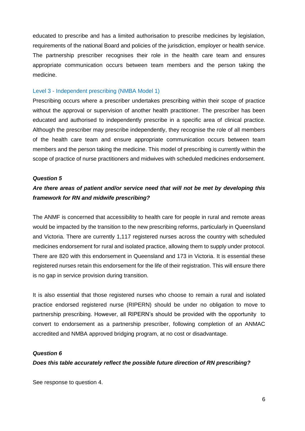educated to prescribe and has a limited authorisation to prescribe medicines by legislation, requirements of the national Board and policies of the jurisdiction, employer or health service. The partnership prescriber recognises their role in the health care team and ensures appropriate communication occurs between team members and the person taking the medicine.

#### Level 3 - Independent prescribing (NMBA Model 1)

Prescribing occurs where a prescriber undertakes prescribing within their scope of practice without the approval or supervision of another health practitioner. The prescriber has been educated and authorised to independently prescribe in a specific area of clinical practice. Although the prescriber may prescribe independently, they recognise the role of all members of the health care team and ensure appropriate communication occurs between team members and the person taking the medicine. This model of prescribing is currently within the scope of practice of nurse practitioners and midwives with scheduled medicines endorsement.

#### *Question 5*

# *Are there areas of patient and/or service need that will not be met by developing this framework for RN and midwife prescribing?*

The ANMF is concerned that accessibility to health care for people in rural and remote areas would be impacted by the transition to the new prescribing reforms, particularly in Queensland and Victoria. There are currently 1,117 registered nurses across the country with scheduled medicines endorsement for rural and isolated practice, allowing them to supply under protocol. There are 820 with this endorsement in Queensland and 173 in Victoria. It is essential these registered nurses retain this endorsement for the life of their registration. This will ensure there is no gap in service provision during transition.

It is also essential that those registered nurses who choose to remain a rural and isolated practice endorsed registered nurse (RIPERN) should be under no obligation to move to partnership prescribing. However, all RIPERN's should be provided with the opportunity to convert to endorsement as a partnership prescriber, following completion of an ANMAC accredited and NMBA approved bridging program, at no cost or disadvantage.

#### *Question 6*

#### *Does this table accurately reflect the possible future direction of RN prescribing?*

See response to question 4.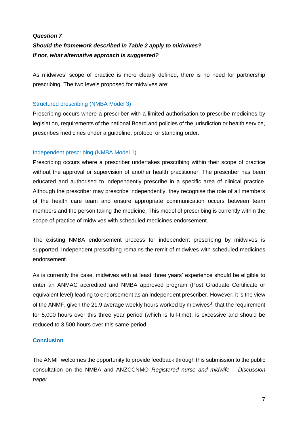# *Question 7 Should the framework described in Table 2 apply to midwives? If not, what alternative approach is suggested?*

As midwives' scope of practice is more clearly defined, there is no need for partnership prescribing. The two levels proposed for midwives are:

## Structured prescribing (NMBA Model 3)

Prescribing occurs where a prescriber with a limited authorisation to prescribe medicines by legislation, requirements of the national Board and policies of the jurisdiction or health service, prescribes medicines under a guideline, protocol or standing order.

## Independent prescribing (NMBA Model 1)

Prescribing occurs where a prescriber undertakes prescribing within their scope of practice without the approval or supervision of another health practitioner. The prescriber has been educated and authorised to independently prescribe in a specific area of clinical practice. Although the prescriber may prescribe independently, they recognise the role of all members of the health care team and ensure appropriate communication occurs between team members and the person taking the medicine. This model of prescribing is currently within the scope of practice of midwives with scheduled medicines endorsement.

The existing NMBA endorsement process for independent prescribing by midwives is supported. Independent prescribing remains the remit of midwives with scheduled medicines endorsement.

As is currently the case, midwives with at least three years' experience should be eligible to enter an ANMAC accredited and NMBA approved program (Post Graduate Certificate or equivalent level) leading to endorsement as an independent prescriber. However, it is the view of the ANMF, given the 21.9 average weekly hours worked by midwives<sup>3</sup>, that the requirement for 5,000 hours over this three year period (which is full-time), is excessive and should be reduced to 3,500 hours over this same period.

## **Conclusion**

The ANMF welcomes the opportunity to provide feedback through this submission to the public consultation on the NMBA and ANZCCNMO *Registered nurse and midwife – Discussion paper*.